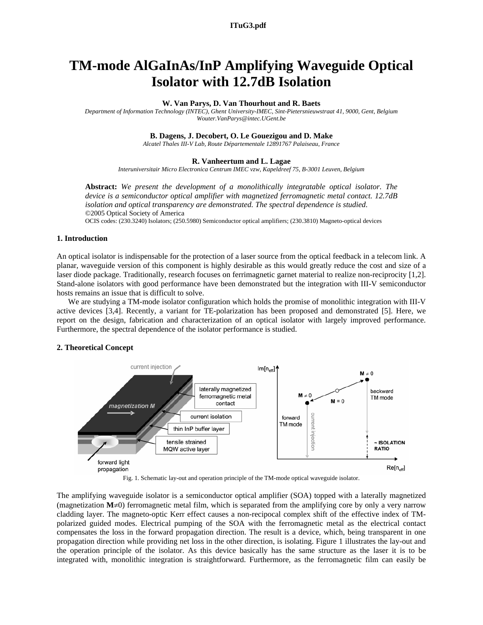**a152\_1.pdf ITuG3.pdf** 

# **TM-mode AlGaInAs/InP Amplifying Waveguide Optical Isolator with 12.7dB Isolation**

## **W. Van Parys, D. Van Thourhout and R. Baets**

*Department of Information Technology (INTEC), Ghent University-IMEC, Sint-Pietersnieuwstraat 41, 9000, Gent, Belgium Wouter.VanParys@intec.UGent.be* 

# **B. Dagens, J. Decobert, O. Le Gouezigou and D. Make**

*Alcatel Thales III-V Lab, Route Départementale 12891767 Palaiseau, France* 

# **R. Vanheertum and L. Lagae**

*Interuniversitair Micro Electronica Centrum IMEC vzw, Kapeldreef 75, B-3001 Leuven, Belgium* 

**Abstract:** *We present the development of a monolithically integratable optical isolator. The device is a semiconductor optical amplifier with magnetized ferromagnetic metal contact. 12.7dB isolation and optical transparency are demonstrated. The spectral dependence is studied.* ©2005 Optical Society of America

OCIS codes: (230.3240) Isolators; (250.5980) Semiconductor optical amplifiers; (230.3810) Magneto-optical devices

# **1. Introduction**

An optical isolator is indispensable for the protection of a laser source from the optical feedback in a telecom link. A planar, waveguide version of this component is highly desirable as this would greatly reduce the cost and size of a laser diode package. Traditionally, research focuses on ferrimagnetic garnet material to realize non-reciprocity [1,2]. Stand-alone isolators with good performance have been demonstrated but the integration with III-V semiconductor hosts remains an issue that is difficult to solve.

We are studying a TM-mode isolator configuration which holds the promise of monolithic integration with III-V active devices [3,4]. Recently, a variant for TE-polarization has been proposed and demonstrated [5]. Here, we report on the design, fabrication and characterization of an optical isolator with largely improved performance. Furthermore, the spectral dependence of the isolator performance is studied.

# **2. Theoretical Concept**



Fig. 1. Schematic lay-out and operation principle of the TM-mode optical waveguide isolator.

The amplifying waveguide isolator is a semiconductor optical amplifier (SOA) topped with a laterally magnetized (magnetization  $M \neq 0$ ) ferromagnetic metal film, which is separated from the amplifying core by only a very narrow cladding layer. The magneto-optic Kerr effect causes a non-recipocal complex shift of the effective index of TMpolarized guided modes. Electrical pumping of the SOA with the ferromagnetic metal as the electrical contact compensates the loss in the forward propagation direction. The result is a device, which, being transparent in one propagation direction while providing net loss in the other direction, is isolating. Figure 1 illustrates the lay-out and the operation principle of the isolator. As this device basically has the same structure as the laser it is to be integrated with, monolithic integration is straightforward. Furthermore, as the ferromagnetic film can easily be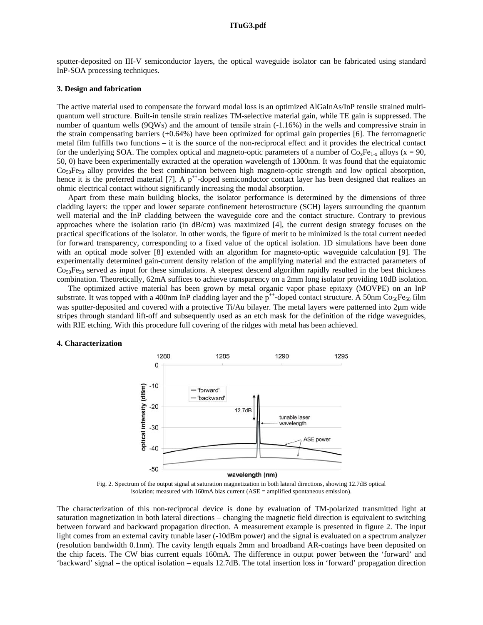sputter-deposited on III-V semiconductor layers, the optical waveguide isolator can be fabricated using standard InP-SOA processing techniques.

# **3. Design and fabrication**

The active material used to compensate the forward modal loss is an optimized AlGaInAs/InP tensile strained multiquantum well structure. Built-in tensile strain realizes TM-selective material gain, while TE gain is suppressed. The number of quantum wells (9QWs) and the amount of tensile strain (-1.16%) in the wells and compressive strain in the strain compensating barriers (+0.64%) have been optimized for optimal gain properties [6]. The ferromagnetic metal film fulfills two functions – it is the source of the non-reciprocal effect and it provides the electrical contact for the underlying SOA. The complex optical and magneto-optic parameters of a number of  $Co_xFe_{1-x}$  alloys (x = 90, 50, 0) have been experimentally extracted at the operation wavelength of 1300nm. It was found that the equiatomic  $Co<sub>50</sub>Fe<sub>50</sub>$  alloy provides the best combination between high magneto-optic strength and low optical absorption, hence it is the preferred material [7]. A  $p^{++}$ -doped semiconductor contact layer has been designed that realizes an ohmic electrical contact without significantly increasing the modal absorption.

Apart from these main building blocks, the isolator performance is determined by the dimensions of three cladding layers: the upper and lower separate confinement heterostructure (SCH) layers surrounding the quantum well material and the InP cladding between the waveguide core and the contact structure. Contrary to previous approaches where the isolation ratio (in dB/cm) was maximized [4], the current design strategy focuses on the practical specifications of the isolator. In other words, the figure of merit to be minimized is the total current needed for forward transparency, corresponding to a fixed value of the optical isolation. 1D simulations have been done with an optical mode solver [8] extended with an algorithm for magneto-optic waveguide calculation [9]. The experimentally determined gain-current density relation of the amplifying material and the extracted parameters of  $Co<sub>50</sub>Fe<sub>50</sub>$  served as input for these simulations. A steepest descend algorithm rapidly resulted in the best thickness combination. Theoretically, 62mA suffices to achieve transparency on a 2mm long isolator providing 10dB isolation.

The optimized active material has been grown by metal organic vapor phase epitaxy (MOVPE) on an InP substrate. It was topped with a 400nm InP cladding layer and the  $p^{++}$ -doped contact structure. A 50nm Co<sub>50</sub>Fe<sub>50</sub> film was sputter-deposited and covered with a protective Ti/Au bilayer. The metal layers were patterned into 2µm wide stripes through standard lift-off and subsequently used as an etch mask for the definition of the ridge waveguides, with RIE etching. With this procedure full covering of the ridges with metal has been achieved.

#### **4. Characterization**



Fig. 2. Spectrum of the output signal at saturation magnetization in both lateral directions, showing 12.7dB optical isolation; measured with 160mA bias current (ASE = amplified spontaneous emission).

The characterization of this non-reciprocal device is done by evaluation of TM-polarized transmitted light at saturation magnetization in both lateral directions – changing the magnetic field direction is equivalent to switching between forward and backward propagation direction. A measurement example is presented in figure 2. The input light comes from an external cavity tunable laser (-10dBm power) and the signal is evaluated on a spectrum analyzer (resolution bandwidth 0.1nm). The cavity length equals 2mm and broadband AR-coatings have been deposited on the chip facets. The CW bias current equals 160mA. The difference in output power between the 'forward' and 'backward' signal – the optical isolation – equals 12.7dB. The total insertion loss in 'forward' propagation direction